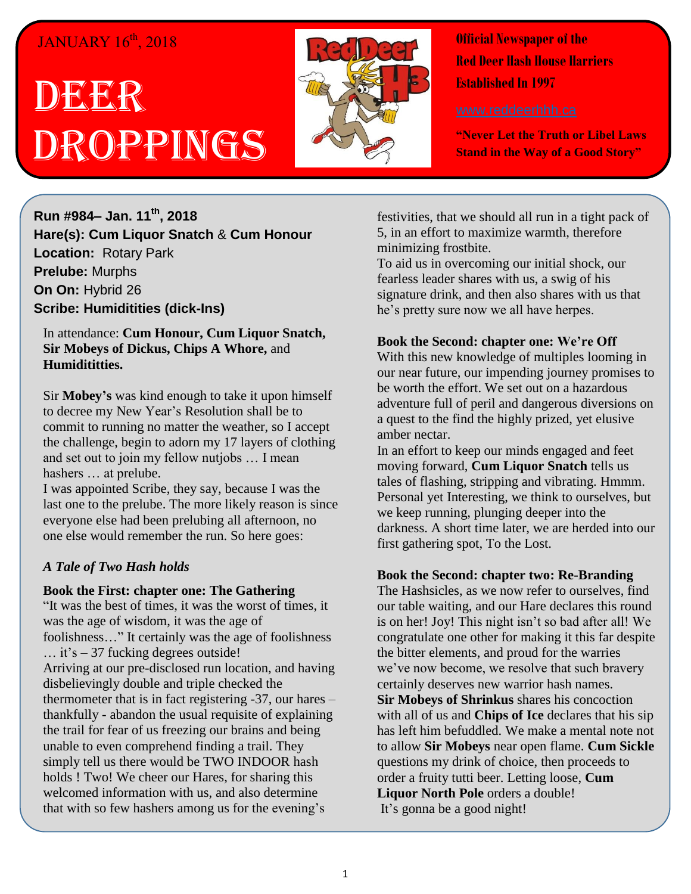## JANUARY 16<sup>th</sup>, 2018

# DEER Droppings



**Official Newspaper of the Red Deer Hash House Harriers Established In 1997** 

**"Never Let the Truth or Libel Laws Stand in the Way of a Good Story"**

**Run #984– Jan. 11th, 2018 Hare(s): Cum Liquor Snatch** & **Cum Honour Location:** Rotary Park **Prelube:** Murphs **On On:** Hybrid 26 **Scribe: Humiditities (dick-Ins)**

In attendance: **Cum Honour, Cum Liquor Snatch, Sir Mobeys of Dickus, Chips A Whore,** and **Humidititties.**

Sir **Mobey's** was kind enough to take it upon himself to decree my New Year's Resolution shall be to commit to running no matter the weather, so I accept the challenge, begin to adorn my 17 layers of clothing and set out to join my fellow nutjobs … I mean hashers … at prelube.

I was appointed Scribe, they say, because I was the last one to the prelube. The more likely reason is since everyone else had been prelubing all afternoon, no one else would remember the run. So here goes:

#### *A Tale of Two Hash holds*

#### **Book the First: chapter one: The Gathering**

"It was the best of times, it was the worst of times, it was the age of wisdom, it was the age of foolishness…" It certainly was the age of foolishness … it's – 37 fucking degrees outside! Arriving at our pre-disclosed run location, and having disbelievingly double and triple checked the thermometer that is in fact registering -37, our hares – thankfully - abandon the usual requisite of explaining the trail for fear of us freezing our brains and being unable to even comprehend finding a trail. They simply tell us there would be TWO INDOOR hash holds ! Two! We cheer our Hares, for sharing this welcomed information with us, and also determine that with so few hashers among us for the evening's

festivities, that we should all run in a tight pack of 5, in an effort to maximize warmth, therefore minimizing frostbite.

To aid us in overcoming our initial shock, our fearless leader shares with us, a swig of his signature drink, and then also shares with us that he's pretty sure now we all have herpes.

#### **Book the Second: chapter one: We're Off**

With this new knowledge of multiples looming in our near future, our impending journey promises to be worth the effort. We set out on a hazardous adventure full of peril and dangerous diversions on a quest to the find the highly prized, yet elusive amber nectar.

In an effort to keep our minds engaged and feet moving forward, **Cum Liquor Snatch** tells us tales of flashing, stripping and vibrating. Hmmm. Personal yet Interesting, we think to ourselves, but we keep running, plunging deeper into the darkness. A short time later, we are herded into our first gathering spot, To the Lost.

#### **Book the Second: chapter two: Re-Branding**

The Hashsicles, as we now refer to ourselves, find our table waiting, and our Hare declares this round is on her! Joy! This night isn't so bad after all! We congratulate one other for making it this far despite the bitter elements, and proud for the warries we've now become, we resolve that such bravery certainly deserves new warrior hash names.

**Sir Mobeys of Shrinkus** shares his concoction with all of us and **Chips of Ice** declares that his sip has left him befuddled. We make a mental note not to allow **Sir Mobeys** near open flame. **Cum Sickle** questions my drink of choice, then proceeds to order a fruity tutti beer. Letting loose, **Cum Liquor North Pole** orders a double! It's gonna be a good night!